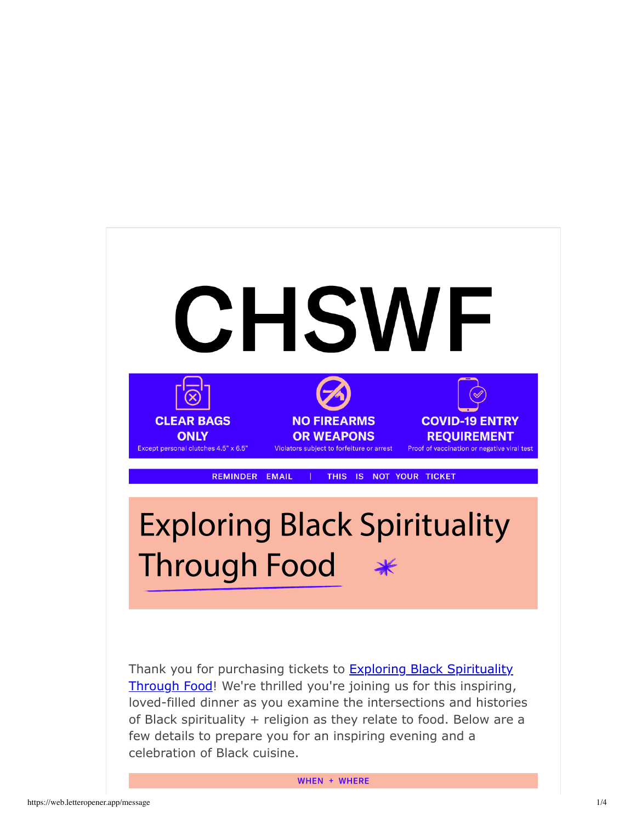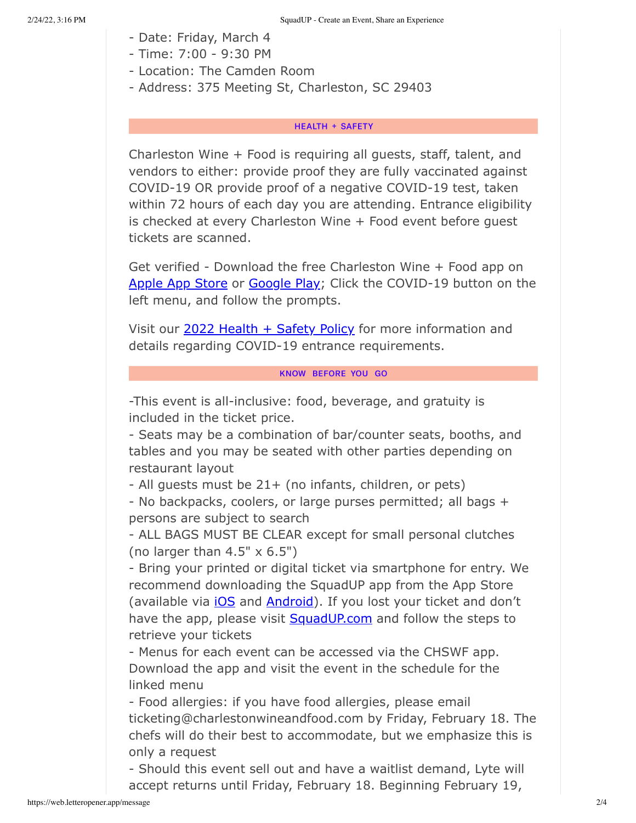- Date: Friday, March 4
- Time: 7:00 9:30 PM
- Location: The Camden Room
- Address: 375 Meeting St, Charleston, SC 29403

## **HEALTH + SAFETY**

Charleston Wine + Food is requiring all guests, staff, talent, and vendors to either: provide proof they are fully vaccinated against COVID-19 OR provide proof of a negative COVID-19 test, taken within 72 hours of each day you are attending. Entrance eligibility is checked at every Charleston Wine + Food event before guest tickets are scanned.

Get verified - Download the free Charleston Wine + Food app on Apple App Store or Google Play; Click the COVID-19 button on the left menu, and follow the prompts.

Visit our 2022 Health + Safety Policy for more information and details regarding COVID-19 entrance requirements.

# KNOW BEFORE YOU GO

-This event is all-inclusive: food, beverage, and gratuity is included in the ticket price.

- Seats may be a combination of bar/counter seats, booths, and tables and you may be seated with other parties depending on restaurant layout

- All guests must be 21+ (no infants, children, or pets)

- No backpacks, coolers, or large purses permitted; all bags + persons are subject to search

- ALL BAGS MUST BE CLEAR except for small personal clutches (no larger than 4.5" x 6.5")

- Bring your printed or digital ticket via smartphone for entry. We recommend downloading the SquadUP app from the App Store (available via *iOS* and **Android**). If you lost your ticket and don't have the app, please visit SquadUP.com and follow the steps to retrieve your tickets

- Menus for each event can be accessed via the CHSWF app. Download the app and visit the event in the schedule for the linked menu

- Food allergies: if you have food allergies, please email ticketing@charlestonwineandfood.com by Friday, February 18. The chefs will do their best to accommodate, but we emphasize this is only a request

- Should this event sell out and have a waitlist demand, Lyte will accept returns until Friday, February 18. Beginning February 19,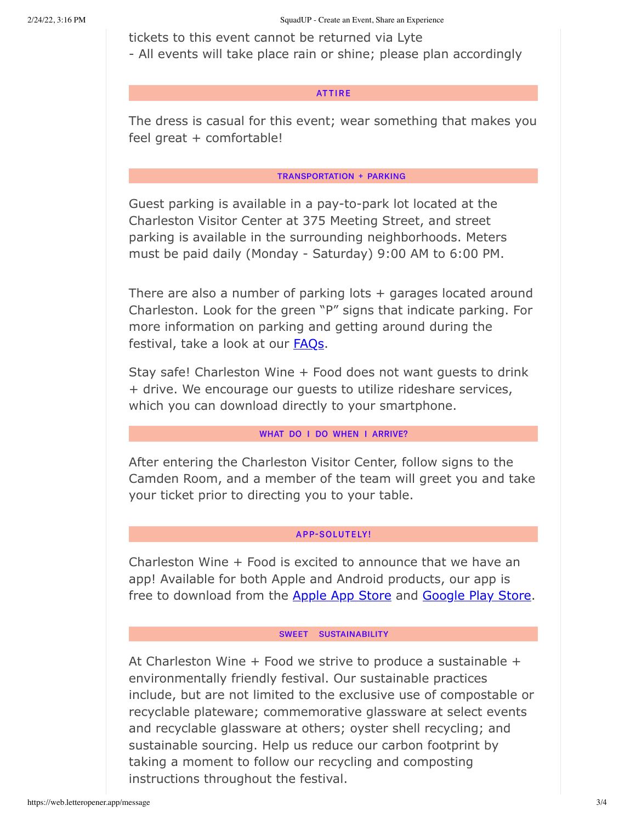tickets to this event cannot be returned via Lyte

- All events will take place rain or shine; please plan accordingly

#### **ATTIRE**

The dress is casual for this event; wear something that makes you feel great + comfortable!

### **TRANSPORTATION + PARKING**

Guest parking is available in a pay-to-park lot located at the Charleston Visitor Center at 375 Meeting Street, and street parking is available in the surrounding neighborhoods. Meters must be paid daily (Monday - Saturday) 9:00 AM to 6:00 PM.

There are also a number of parking lots  $+$  garages located around Charleston. Look for the green "P" signs that indicate parking. For more information on parking and getting around during the festival, take a look at our **FAQs**.

Stay safe! Charleston Wine + Food does not want guests to drink + drive. We encourage our guests to utilize rideshare services, which you can download directly to your smartphone.

### WHAT DO I DO WHEN I ARRIVE?

After entering the Charleston Visitor Center, follow signs to the Camden Room, and a member of the team will greet you and take your ticket prior to directing you to your table.

### **APP-SOLUTELY!**

Charleston Wine + Food is excited to announce that we have an app! Available for both Apple and Android products, our app is free to download from the Apple App Store and Google Play Store.

#### SWEET SUSTAINABILITY

At Charleston Wine  $+$  Food we strive to produce a sustainable  $+$ environmentally friendly festival. Our sustainable practices include, but are not limited to the exclusive use of compostable or recyclable plateware; commemorative glassware at select events and recyclable glassware at others; oyster shell recycling; and sustainable sourcing. Help us reduce our carbon footprint by taking a moment to follow our recycling and composting instructions throughout the festival.